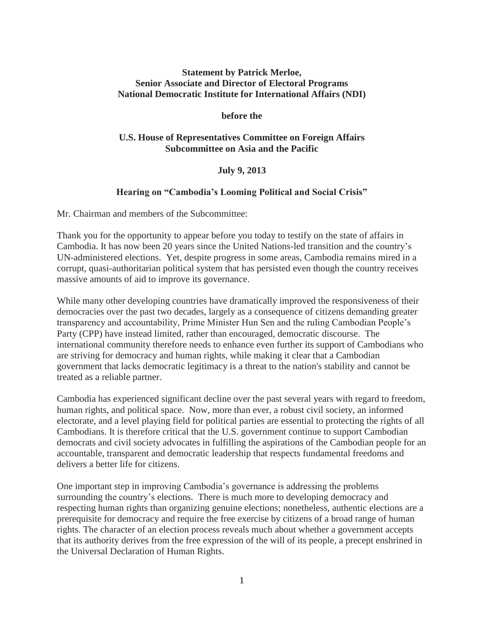# **Statement by Patrick Merloe, Senior Associate and Director of Electoral Programs National Democratic Institute for International Affairs (NDI)**

#### **before the**

## **U.S. House of Representatives Committee on Foreign Affairs Subcommittee on Asia and the Pacific**

## **July 9, 2013**

## **Hearing on "Cambodia's Looming Political and Social Crisis"**

Mr. Chairman and members of the Subcommittee:

Thank you for the opportunity to appear before you today to testify on the state of affairs in Cambodia. It has now been 20 years since the United Nations-led transition and the country's UN-administered elections. Yet, despite progress in some areas, Cambodia remains mired in a corrupt, quasi-authoritarian political system that has persisted even though the country receives massive amounts of aid to improve its governance.

While many other developing countries have dramatically improved the responsiveness of their democracies over the past two decades, largely as a consequence of citizens demanding greater transparency and accountability, Prime Minister Hun Sen and the ruling Cambodian People's Party (CPP) have instead limited, rather than encouraged, democratic discourse. The international community therefore needs to enhance even further its support of Cambodians who are striving for democracy and human rights, while making it clear that a Cambodian government that lacks democratic legitimacy is a threat to the nation's stability and cannot be treated as a reliable partner.

Cambodia has experienced significant decline over the past several years with regard to freedom, human rights, and political space. Now, more than ever, a robust civil society, an informed electorate, and a level playing field for political parties are essential to protecting the rights of all Cambodians. It is therefore critical that the U.S. government continue to support Cambodian democrats and civil society advocates in fulfilling the aspirations of the Cambodian people for an accountable, transparent and democratic leadership that respects fundamental freedoms and delivers a better life for citizens.

One important step in improving Cambodia's governance is addressing the problems surrounding the country's elections. There is much more to developing democracy and respecting human rights than organizing genuine elections; nonetheless, authentic elections are a prerequisite for democracy and require the free exercise by citizens of a broad range of human rights. The character of an election process reveals much about whether a government accepts that its authority derives from the free expression of the will of its people, a precept enshrined in the Universal Declaration of Human Rights.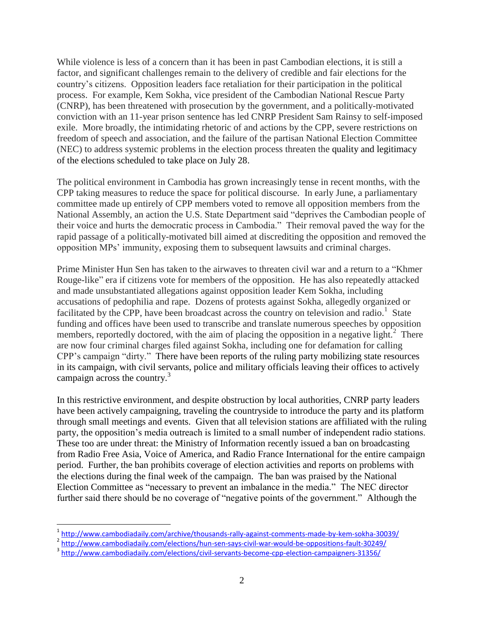While violence is less of a concern than it has been in past Cambodian elections, it is still a factor, and significant challenges remain to the delivery of credible and fair elections for the country's citizens. Opposition leaders face retaliation for their participation in the political process. For example, Kem Sokha, vice president of the Cambodian National Rescue Party (CNRP), has been threatened with prosecution by the government, and a politically-motivated conviction with an 11-year prison sentence has led CNRP President Sam Rainsy to self-imposed exile. More broadly, the intimidating rhetoric of and actions by the CPP, severe restrictions on freedom of speech and association, and the failure of the partisan National Election Committee (NEC) to address systemic problems in the election process threaten the quality and legitimacy of the elections scheduled to take place on July 28.

The political environment in Cambodia has grown increasingly tense in recent months, with the CPP taking measures to reduce the space for political discourse. In early June, a parliamentary committee made up entirely of CPP members voted to remove all opposition members from the National Assembly, an action the U.S. State Department said "deprives the Cambodian people of their voice and hurts the democratic process in Cambodia." Their removal paved the way for the rapid passage of a politically-motivated bill aimed at discrediting the opposition and removed the opposition MPs' immunity, exposing them to subsequent lawsuits and criminal charges.

Prime Minister Hun Sen has taken to the airwaves to threaten civil war and a return to a "Khmer Rouge-like" era if citizens vote for members of the opposition. He has also repeatedly attacked and made unsubstantiated allegations against opposition leader Kem Sokha, including accusations of pedophilia and rape. Dozens of protests against Sokha, allegedly organized or facilitated by the CPP, have been broadcast across the country on television and radio.<sup>1</sup> State funding and offices have been used to transcribe and translate numerous speeches by opposition members, reportedly doctored, with the aim of placing the opposition in a negative light.<sup>2</sup> There are now four criminal charges filed against Sokha, including one for defamation for calling CPP's campaign "dirty." There have been reports of the ruling party mobilizing state resources in its campaign, with civil servants, police and military officials leaving their offices to actively campaign across the country.<sup>3</sup>

In this restrictive environment, and despite obstruction by local authorities, CNRP party leaders have been actively campaigning, traveling the countryside to introduce the party and its platform through small meetings and events. Given that all television stations are affiliated with the ruling party, the opposition's media outreach is limited to a small number of independent radio stations. These too are under threat: the Ministry of Information recently issued a ban on broadcasting from Radio Free Asia, Voice of America, and Radio France International for the entire campaign period. Further, the ban prohibits coverage of election activities and reports on problems with the elections during the final week of the campaign. The ban was praised by the National Election Committee as "necessary to prevent an imbalance in the media." The NEC director further said there should be no coverage of "negative points of the government." Although the

<sup>3</sup> <http://www.cambodiadaily.com/elections/civil-servants-become-cpp-election-campaigners-31356/>

 $\overline{\phantom{a}}$ 

<sup>1</sup> <http://www.cambodiadaily.com/archive/thousands-rally-against-comments-made-by-kem-sokha-30039/>

<sup>2</sup> <http://www.cambodiadaily.com/elections/hun-sen-says-civil-war-would-be-oppositions-fault-30249/>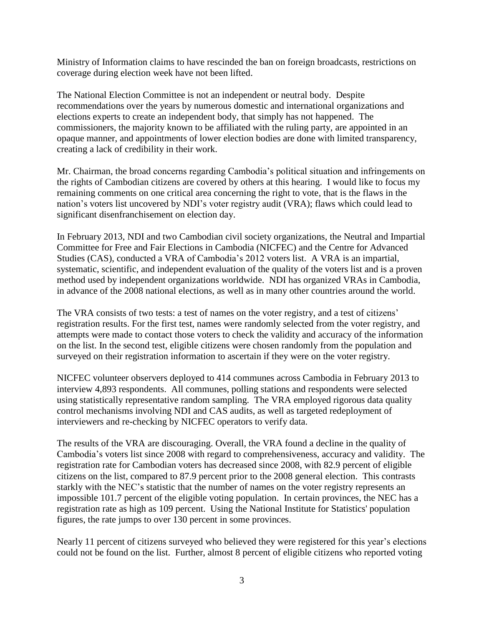Ministry of Information claims to have rescinded the ban on foreign broadcasts, restrictions on coverage during election week have not been lifted.

The National Election Committee is not an independent or neutral body. Despite recommendations over the years by numerous domestic and international organizations and elections experts to create an independent body, that simply has not happened. The commissioners, the majority known to be affiliated with the ruling party, are appointed in an opaque manner, and appointments of lower election bodies are done with limited transparency, creating a lack of credibility in their work.

Mr. Chairman, the broad concerns regarding Cambodia's political situation and infringements on the rights of Cambodian citizens are covered by others at this hearing. I would like to focus my remaining comments on one critical area concerning the right to vote, that is the flaws in the nation's voters list uncovered by NDI's voter registry audit (VRA); flaws which could lead to significant disenfranchisement on election day.

In February 2013, NDI and two Cambodian civil society organizations, the Neutral and Impartial Committee for Free and Fair Elections in Cambodia (NICFEC) and the Centre for Advanced Studies (CAS), conducted a VRA of Cambodia's 2012 voters list. A VRA is an impartial, systematic, scientific, and independent evaluation of the quality of the voters list and is a proven method used by independent organizations worldwide. NDI has organized VRAs in Cambodia, in advance of the 2008 national elections, as well as in many other countries around the world.

The VRA consists of two tests: a test of names on the voter registry, and a test of citizens' registration results. For the first test, names were randomly selected from the voter registry, and attempts were made to contact those voters to check the validity and accuracy of the information on the list. In the second test, eligible citizens were chosen randomly from the population and surveyed on their registration information to ascertain if they were on the voter registry.

NICFEC volunteer observers deployed to 414 communes across Cambodia in February 2013 to interview 4,893 respondents. All communes, polling stations and respondents were selected using statistically representative random sampling. The VRA employed rigorous data quality control mechanisms involving NDI and CAS audits, as well as targeted redeployment of interviewers and re-checking by NICFEC operators to verify data.

The results of the VRA are discouraging. Overall, the VRA found a decline in the quality of Cambodia's voters list since 2008 with regard to comprehensiveness, accuracy and validity. The registration rate for Cambodian voters has decreased since 2008, with 82.9 percent of eligible citizens on the list, compared to 87.9 percent prior to the 2008 general election. This contrasts starkly with the NEC's statistic that the number of names on the voter registry represents an impossible 101.7 percent of the eligible voting population. In certain provinces, the NEC has a registration rate as high as 109 percent. Using the National Institute for Statistics' population figures, the rate jumps to over 130 percent in some provinces.

Nearly 11 percent of citizens surveyed who believed they were registered for this year's elections could not be found on the list. Further, almost 8 percent of eligible citizens who reported voting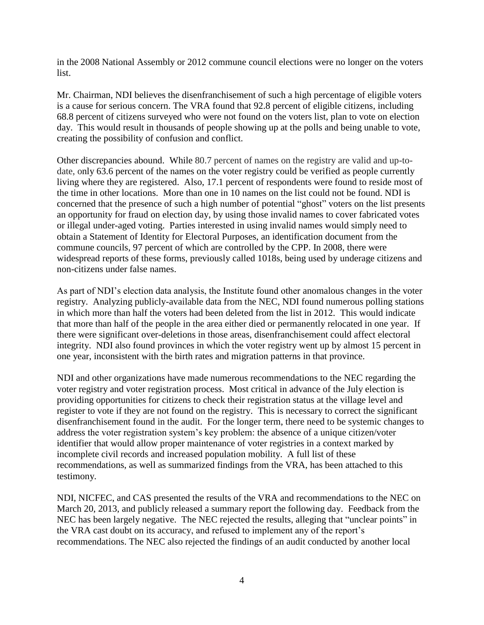in the 2008 National Assembly or 2012 commune council elections were no longer on the voters list.

Mr. Chairman, NDI believes the disenfranchisement of such a high percentage of eligible voters is a cause for serious concern. The VRA found that 92.8 percent of eligible citizens, including 68.8 percent of citizens surveyed who were not found on the voters list, plan to vote on election day. This would result in thousands of people showing up at the polls and being unable to vote, creating the possibility of confusion and conflict.

Other discrepancies abound. While 80.7 percent of names on the registry are valid and up-todate, only 63.6 percent of the names on the voter registry could be verified as people currently living where they are registered. Also, 17.1 percent of respondents were found to reside most of the time in other locations. More than one in 10 names on the list could not be found. NDI is concerned that the presence of such a high number of potential "ghost" voters on the list presents an opportunity for fraud on election day, by using those invalid names to cover fabricated votes or illegal under-aged voting. Parties interested in using invalid names would simply need to obtain a Statement of Identity for Electoral Purposes, an identification document from the commune councils, 97 percent of which are controlled by the CPP. In 2008, there were widespread reports of these forms, previously called 1018s, being used by underage citizens and non-citizens under false names.

As part of NDI's election data analysis, the Institute found other anomalous changes in the voter registry. Analyzing publicly-available data from the NEC, NDI found numerous polling stations in which more than half the voters had been deleted from the list in 2012. This would indicate that more than half of the people in the area either died or permanently relocated in one year. If there were significant over-deletions in those areas, disenfranchisement could affect electoral integrity. NDI also found provinces in which the voter registry went up by almost 15 percent in one year, inconsistent with the birth rates and migration patterns in that province.

NDI and other organizations have made numerous recommendations to the NEC regarding the voter registry and voter registration process. Most critical in advance of the July election is providing opportunities for citizens to check their registration status at the village level and register to vote if they are not found on the registry. This is necessary to correct the significant disenfranchisement found in the audit. For the longer term, there need to be systemic changes to address the voter registration system's key problem: the absence of a unique citizen/voter identifier that would allow proper maintenance of voter registries in a context marked by incomplete civil records and increased population mobility. A full list of these recommendations, as well as summarized findings from the VRA, has been attached to this testimony.

NDI, NICFEC, and CAS presented the results of the VRA and recommendations to the NEC on March 20, 2013, and publicly released a summary report the following day. Feedback from the NEC has been largely negative. The NEC rejected the results, alleging that "unclear points" in the VRA cast doubt on its accuracy, and refused to implement any of the report's recommendations. The NEC also rejected the findings of an audit conducted by another local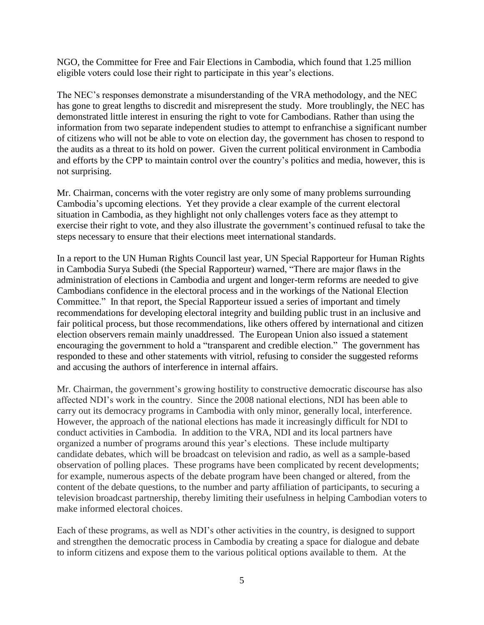NGO, the Committee for Free and Fair Elections in Cambodia, which found that 1.25 million eligible voters could lose their right to participate in this year's elections.

The NEC's responses demonstrate a misunderstanding of the VRA methodology, and the NEC has gone to great lengths to discredit and misrepresent the study. More troublingly, the NEC has demonstrated little interest in ensuring the right to vote for Cambodians. Rather than using the information from two separate independent studies to attempt to enfranchise a significant number of citizens who will not be able to vote on election day, the government has chosen to respond to the audits as a threat to its hold on power. Given the current political environment in Cambodia and efforts by the CPP to maintain control over the country's politics and media, however, this is not surprising.

Mr. Chairman, concerns with the voter registry are only some of many problems surrounding Cambodia's upcoming elections. Yet they provide a clear example of the current electoral situation in Cambodia, as they highlight not only challenges voters face as they attempt to exercise their right to vote, and they also illustrate the government's continued refusal to take the steps necessary to ensure that their elections meet international standards.

In a report to the UN Human Rights Council last year, UN Special Rapporteur for Human Rights in Cambodia Surya Subedi (the Special Rapporteur) warned, "There are major flaws in the administration of elections in Cambodia and urgent and longer-term reforms are needed to give Cambodians confidence in the electoral process and in the workings of the National Election Committee." In that report, the Special Rapporteur issued a series of important and timely recommendations for developing electoral integrity and building public trust in an inclusive and fair political process, but those recommendations, like others offered by international and citizen election observers remain mainly unaddressed. The European Union also issued a statement encouraging the government to hold a "transparent and credible election." The government has responded to these and other statements with vitriol, refusing to consider the suggested reforms and accusing the authors of interference in internal affairs.

Mr. Chairman, the government's growing hostility to constructive democratic discourse has also affected NDI's work in the country. Since the 2008 national elections, NDI has been able to carry out its democracy programs in Cambodia with only minor, generally local, interference. However, the approach of the national elections has made it increasingly difficult for NDI to conduct activities in Cambodia. In addition to the VRA, NDI and its local partners have organized a number of programs around this year's elections. These include multiparty candidate debates, which will be broadcast on television and radio, as well as a sample-based observation of polling places. These programs have been complicated by recent developments; for example, numerous aspects of the debate program have been changed or altered, from the content of the debate questions, to the number and party affiliation of participants, to securing a television broadcast partnership, thereby limiting their usefulness in helping Cambodian voters to make informed electoral choices.

Each of these programs, as well as NDI's other activities in the country, is designed to support and strengthen the democratic process in Cambodia by creating a space for dialogue and debate to inform citizens and expose them to the various political options available to them. At the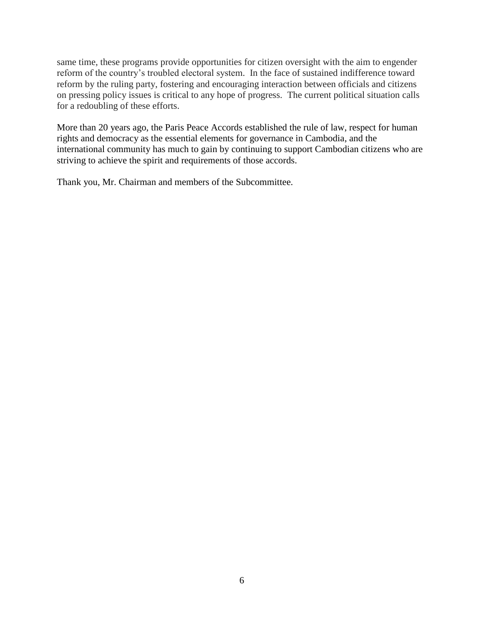same time, these programs provide opportunities for citizen oversight with the aim to engender reform of the country's troubled electoral system. In the face of sustained indifference toward reform by the ruling party, fostering and encouraging interaction between officials and citizens on pressing policy issues is critical to any hope of progress. The current political situation calls for a redoubling of these efforts.

More than 20 years ago, the Paris Peace Accords established the rule of law, respect for human rights and democracy as the essential elements for governance in Cambodia, and the international community has much to gain by continuing to support Cambodian citizens who are striving to achieve the spirit and requirements of those accords.

Thank you, Mr. Chairman and members of the Subcommittee.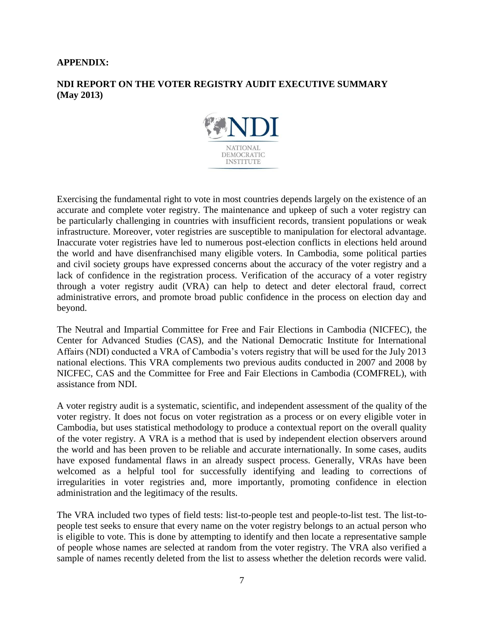## **APPENDIX:**

# **NDI REPORT ON THE VOTER REGISTRY AUDIT EXECUTIVE SUMMARY (May 2013)**



Exercising the fundamental right to vote in most countries depends largely on the existence of an accurate and complete voter registry. The maintenance and upkeep of such a voter registry can be particularly challenging in countries with insufficient records, transient populations or weak infrastructure. Moreover, voter registries are susceptible to manipulation for electoral advantage. Inaccurate voter registries have led to numerous post-election conflicts in elections held around the world and have disenfranchised many eligible voters. In Cambodia, some political parties and civil society groups have expressed concerns about the accuracy of the voter registry and a lack of confidence in the registration process. Verification of the accuracy of a voter registry through a voter registry audit (VRA) can help to detect and deter electoral fraud, correct administrative errors, and promote broad public confidence in the process on election day and beyond.

The Neutral and Impartial Committee for Free and Fair Elections in Cambodia (NICFEC), the Center for Advanced Studies (CAS), and the National Democratic Institute for International Affairs (NDI) conducted a VRA of Cambodia's voters registry that will be used for the July 2013 national elections. This VRA complements two previous audits conducted in 2007 and 2008 by NICFEC, CAS and the Committee for Free and Fair Elections in Cambodia (COMFREL), with assistance from NDI.

A voter registry audit is a systematic, scientific, and independent assessment of the quality of the voter registry. It does not focus on voter registration as a process or on every eligible voter in Cambodia, but uses statistical methodology to produce a contextual report on the overall quality of the voter registry. A VRA is a method that is used by independent election observers around the world and has been proven to be reliable and accurate internationally. In some cases, audits have exposed fundamental flaws in an already suspect process. Generally, VRAs have been welcomed as a helpful tool for successfully identifying and leading to corrections of irregularities in voter registries and, more importantly, promoting confidence in election administration and the legitimacy of the results.

The VRA included two types of field tests: list-to-people test and people-to-list test. The list-topeople test seeks to ensure that every name on the voter registry belongs to an actual person who is eligible to vote. This is done by attempting to identify and then locate a representative sample of people whose names are selected at random from the voter registry. The VRA also verified a sample of names recently deleted from the list to assess whether the deletion records were valid.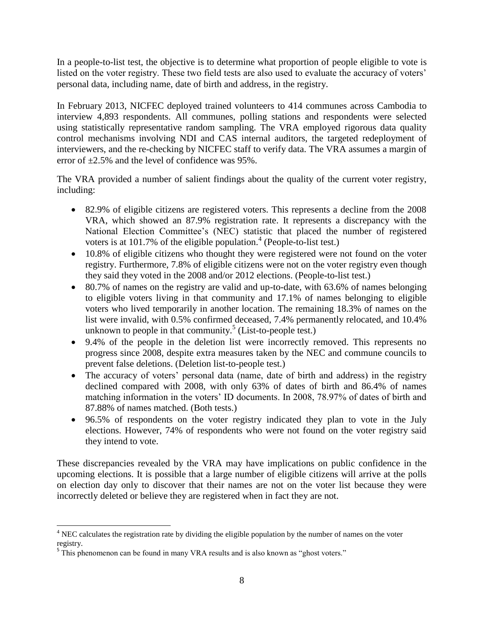In a people-to-list test, the objective is to determine what proportion of people eligible to vote is listed on the voter registry. These two field tests are also used to evaluate the accuracy of voters' personal data, including name, date of birth and address, in the registry.

In February 2013, NICFEC deployed trained volunteers to 414 communes across Cambodia to interview 4,893 respondents. All communes, polling stations and respondents were selected using statistically representative random sampling. The VRA employed rigorous data quality control mechanisms involving NDI and CAS internal auditors, the targeted redeployment of interviewers, and the re-checking by NICFEC staff to verify data. The VRA assumes a margin of error of  $\pm 2.5\%$  and the level of confidence was 95%.

The VRA provided a number of salient findings about the quality of the current voter registry, including:

- 82.9% of eligible citizens are registered voters. This represents a decline from the 2008 VRA, which showed an 87.9% registration rate. It represents a discrepancy with the National Election Committee's (NEC) statistic that placed the number of registered voters is at 101.7% of the eligible population.<sup>4</sup> (People-to-list test.)
- 10.8% of eligible citizens who thought they were registered were not found on the voter registry. Furthermore, 7.8% of eligible citizens were not on the voter registry even though they said they voted in the 2008 and/or 2012 elections. (People-to-list test.)
- 80.7% of names on the registry are valid and up-to-date, with 63.6% of names belonging to eligible voters living in that community and 17.1% of names belonging to eligible voters who lived temporarily in another location. The remaining 18.3% of names on the list were invalid, with 0.5% confirmed deceased, 7.4% permanently relocated, and 10.4% unknown to people in that community.<sup>5</sup> (List-to-people test.)
- 9.4% of the people in the deletion list were incorrectly removed. This represents no progress since 2008, despite extra measures taken by the NEC and commune councils to prevent false deletions. (Deletion list-to-people test.)
- The accuracy of voters' personal data (name, date of birth and address) in the registry declined compared with 2008, with only 63% of dates of birth and 86.4% of names matching information in the voters' ID documents. In 2008, 78.97% of dates of birth and 87.88% of names matched. (Both tests.)
- 96.5% of respondents on the voter registry indicated they plan to vote in the July elections. However, 74% of respondents who were not found on the voter registry said they intend to vote.

These discrepancies revealed by the VRA may have implications on public confidence in the upcoming elections. It is possible that a large number of eligible citizens will arrive at the polls on election day only to discover that their names are not on the voter list because they were incorrectly deleted or believe they are registered when in fact they are not.

 $\overline{\phantom{a}}$ <sup>4</sup> NEC calculates the registration rate by dividing the eligible population by the number of names on the voter registry.

<sup>&</sup>lt;sup>5</sup> This phenomenon can be found in many VRA results and is also known as "ghost voters."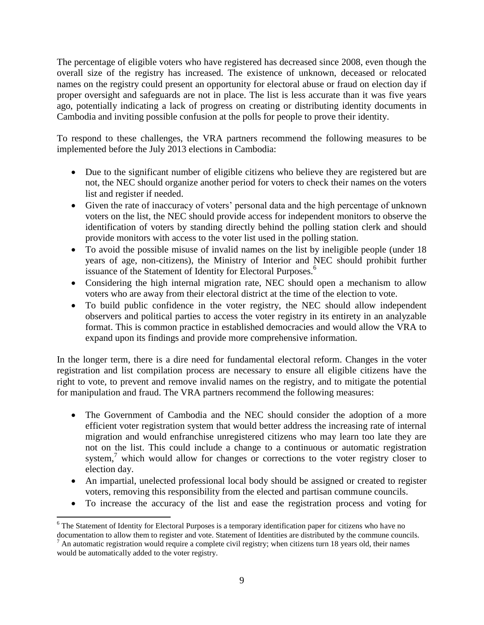The percentage of eligible voters who have registered has decreased since 2008, even though the overall size of the registry has increased. The existence of unknown, deceased or relocated names on the registry could present an opportunity for electoral abuse or fraud on election day if proper oversight and safeguards are not in place. The list is less accurate than it was five years ago, potentially indicating a lack of progress on creating or distributing identity documents in Cambodia and inviting possible confusion at the polls for people to prove their identity.

To respond to these challenges, the VRA partners recommend the following measures to be implemented before the July 2013 elections in Cambodia:

- Due to the significant number of eligible citizens who believe they are registered but are not, the NEC should organize another period for voters to check their names on the voters list and register if needed.
- Given the rate of inaccuracy of voters' personal data and the high percentage of unknown voters on the list, the NEC should provide access for independent monitors to observe the identification of voters by standing directly behind the polling station clerk and should provide monitors with access to the voter list used in the polling station.
- To avoid the possible misuse of invalid names on the list by ineligible people (under 18 years of age, non-citizens), the Ministry of Interior and NEC should prohibit further issuance of the Statement of Identity for Electoral Purposes.<sup>6</sup>
- Considering the high internal migration rate, NEC should open a mechanism to allow voters who are away from their electoral district at the time of the election to vote.
- To build public confidence in the voter registry, the NEC should allow independent observers and political parties to access the voter registry in its entirety in an analyzable format. This is common practice in established democracies and would allow the VRA to expand upon its findings and provide more comprehensive information.

In the longer term, there is a dire need for fundamental electoral reform. Changes in the voter registration and list compilation process are necessary to ensure all eligible citizens have the right to vote, to prevent and remove invalid names on the registry, and to mitigate the potential for manipulation and fraud. The VRA partners recommend the following measures:

- The Government of Cambodia and the NEC should consider the adoption of a more efficient voter registration system that would better address the increasing rate of internal migration and would enfranchise unregistered citizens who may learn too late they are not on the list. This could include a change to a continuous or automatic registration system,<sup>7</sup> which would allow for changes or corrections to the voter registry closer to election day.
- An impartial, unelected professional local body should be assigned or created to register voters, removing this responsibility from the elected and partisan commune councils.
- To increase the accuracy of the list and ease the registration process and voting for

 $\overline{\phantom{a}}$ 

<sup>&</sup>lt;sup>6</sup> The Statement of Identity for Electoral Purposes is a temporary identification paper for citizens who have no documentation to allow them to register and vote. Statement of Identities are distributed by the commune councils.  $^7$  An automatic registration would require a complete civil registry; when citizens turn 18 years old, their names would be automatically added to the voter registry.